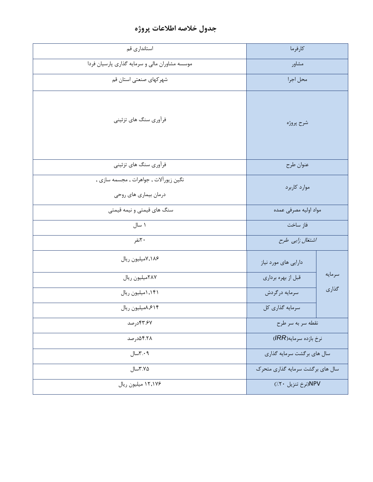## **جدول خالصه اطالعات پروژه**

| استانداري قم                                                    | كارفرما                          |        |
|-----------------------------------------------------------------|----------------------------------|--------|
| موسسه مشاوران مالی و سرمایه گذاری پارسیان فردا                  | مشاور                            |        |
| شهركهاي صنعتي استان قم                                          | محل اجرا                         |        |
| فرأوري سنگ هاي تزئيني                                           | شرح پروژه                        |        |
| فرآوری سنگ های تزئینی                                           | عنوان طرح                        |        |
| نگین زیورآلات , جواهرات , مجسمه سازی ,<br>درمان بیماری های روحی | موارد کاربرد                     |        |
| سنگ های قیمتی و نیمه قیمتی                                      | مواد اوليه مصرفى عمده            |        |
| ۱ سال                                                           | فاز ساخت                         |        |
| ۲۰نفر                                                           | اشتغال زایی طرح                  |        |
| ۷٫۱۸۶میلیون ریال                                                | دارایی های مورد نیاز             |        |
| ٢٨٧ميليون ريال                                                  | قبل از بهره برداري               | سرمايه |
| ١,١۴١ميليون ريال                                                | سرمايه درگردش                    | گذاری  |
| ۰۶۱۴/میلیون ریال                                                | سرمایه گذاری کل                  |        |
| ۴۳.۶۷درصد                                                       | نقطه سر به سر طرح                |        |
| ۵۴.۲۸درصد                                                       | نرخ بازده سرمايه(IRR)            |        |
| ۳.۰۹سال                                                         | سال های برگشت سرمایه گذاری       |        |
| ۲.۷۵شال                                                         | سال های برگشت سرمایه گذاری متحرک |        |
| ۱۲٫۱۷۶ میلیون ریال                                              | NPV(نرخ تنزيل ٢٠٪)               |        |